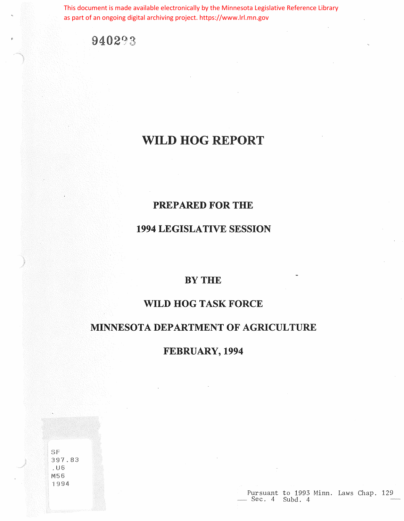This document is made available electronically by the Minnesota Legislative Reference Library as part of an ongoing digital archiving project. https://www.lrl.mn.gov

940293

# **WILD** HOG REPORT

# **PREPARED** FOR THE

# 1994 LEGISLATIVE SESSION

# BYTHE

# WILD HOG TASK FORCE

### MINNESOTA DEPARTMENT OF AGRICULTURE

FEBRUARY, 1994

SF :397. 83 .u M56 'I 994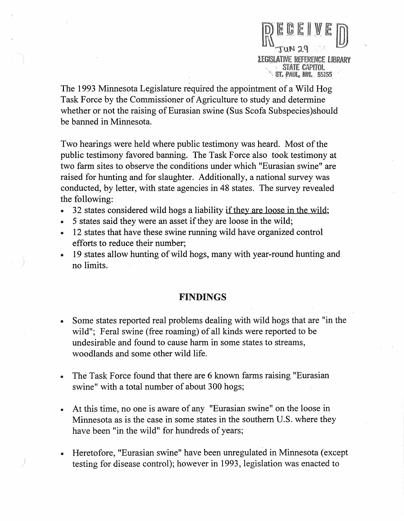REFERENCE LIBRARY STATE CAPITOL **ST. PAUL, MN. 55155** 

The 1993 Minnesota Legislature required the appointment of a Wild Hog Task Force by the Commissioner of Agriculture to study and determine whether or not the raising of Eurasian swine (Sus Scofa Subspecies )should be banned in Minnesota.

Two hearings were held where public testimony was heard. Most of the public testimony favored banning. The Task Force also took testimony at two farm sites to observe the conditions under which "Eurasian swine" are raised for hunting and for slaughter. Additionally, a national survey was conducted, by letter, with state agencies in 48 states. The survey revealed the following:

- 32 states considered wild hogs a liability if they are loose in the wild;
- 5 states said they were an asset if they are loose in the wild;
- 12 states that have these swine running wild have organized control efforts to reduce their number;
- 19 states allow hunting of wild hogs, many with year-round hunting and no limits.

#### FINDINGS

- Some states reported real problems dealing with wild hogs that are "in the wild"; Feral swine (free roaming) of all kinds were reported to be undesirable and found to cause harm in some states to streams, woodlands and some other wild life.
- The Task Force found that there are 6 known farms raising "Eurasian swine" with a total number of about 300 hogs;
- At this time, no one is aware of any "Eurasian swine" on the loose in Minnesota as is the case in some states in the southern U.S. where they have been "in the wild" for hundreds of years;
- Heretofore, "Eurasian swine" have been unregulated in Minnesota (except testing for disease control); however in 1993, legislation was enacted to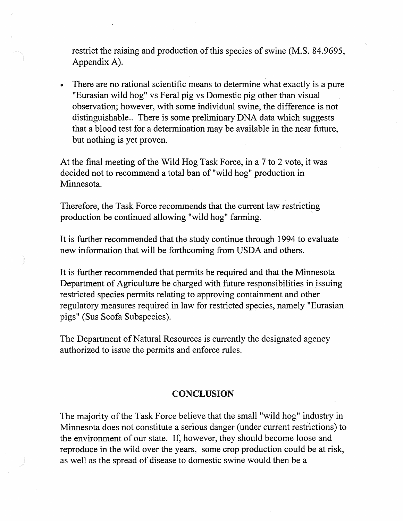restrict the raising and production of this species of swine (M.S. 84.9695, Appendix A).

There are no rational scientific means to determine what exactly is a pure "Eurasian wild hog" vs Feral pig vs Domestic pig other than visual observation; however, with some individual swine, the difference is not distinguishable.. There is some preliminary DNA data which suggests that a blood test for a determination may be available in the near future, but nothing is yet proven.

At the final meeting of the Wild Hog Task Force, in a 7 to 2 vote, it was decided not to recommend a total ban of "wild hog" production in Minnesota.

Therefore, the Task Force recommends that the current law restricting production be continued allowing "wild hog" farming.

It is further recommended that the study continue through 1994 to evaluate new information that will be forthcoming from USDA and others.

It is further recommended that permits be required and that the Minnesota Department of Agriculture be charged with future responsibilities in issuing restricted species permits relating to approving containment and other regulatory measures required in law for restricted species, namely "Eurasian pigs" (Sus Scofa Subspecies).

The Department of Natural Resources is currently the designated agency authorized to issue the permits and enforce rules.

#### **CONCLUSION**

The majority of the Task Force believe that the small "wild hog" industry in Minnesota does not constitute a serious danger ( under current restrictions) to the environment of our state. If, however, they should become loose and reproduce in the wild over the years, some crop production could be at risk, as well as the spread of disease to domestic swine would then be a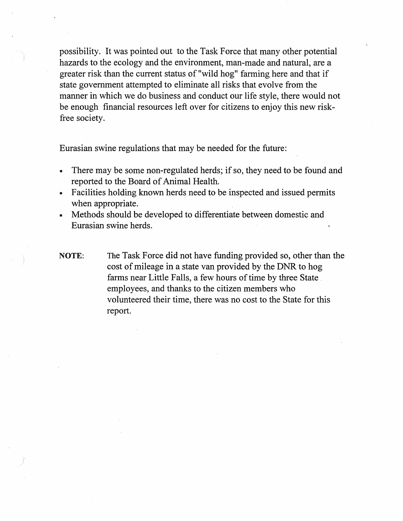possibility. It was pointed out to the Task Force that many other potential hazards to the ecology and the environment, man-made and natural, are a greater risk than the current status of "wild hog" farming here and that if state government attempted to eliminate all risks that evolve from the manner in which we do business and conduct our life style, there would not be enough financial resources left over for citizens to enjoy this new riskfree society.

Eurasian swine regulations that may be needed for the future:

- There may be some non-regulated herds; if so, they need to be found and reported to the Board of Animal Health.
- Facilities holding known herds need to be inspected and issued permits when appropriate.
- Methods should be developed to differentiate between domestic and Eurasian swine herds.
- **NOTE:** The Task Force did not have funding provided so, other than the cost of mileage in a state van provided by the DNR to hog farms near Little Falls, a few hours of time by three State employees, and thanks to the citizen members who volunteered their time, there was no cost to the State for this report.